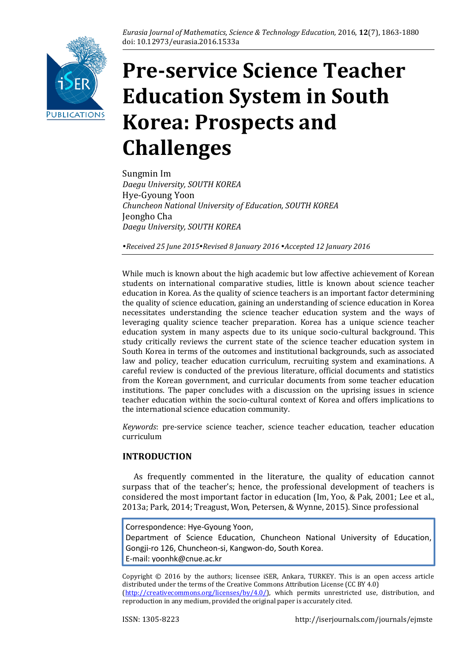

# **Pre-service Science Teacher Education System in South Korea: Prospects and Challenges**

Sungmin Im *Daegu University, SOUTH KOREA* Hye-Gyoung Yoon *Chuncheon National University of Education, SOUTH KOREA* Jeongho Cha *Daegu University, SOUTH KOREA*

*Received 25 June 2015Revised 8 January 2016 Accepted 12 January 2016*

While much is known about the high academic but low affective achievement of Korean students on international comparative studies, little is known about science teacher education in Korea. As the quality of science teachers is an important factor determining the quality of science education, gaining an understanding of science education in Korea necessitates understanding the science teacher education system and the ways of leveraging quality science teacher preparation. Korea has a unique science teacher education system in many aspects due to its unique socio-cultural background. This study critically reviews the current state of the science teacher education system in South Korea in terms of the outcomes and institutional backgrounds, such as associated law and policy, teacher education curriculum, recruiting system and examinations. A careful review is conducted of the previous literature, official documents and statistics from the Korean government, and curricular documents from some teacher education institutions. The paper concludes with a discussion on the uprising issues in science teacher education within the socio-cultural context of Korea and offers implications to the international science education community.

*Keywords*: pre-service science teacher, science teacher education, teacher education curriculum

# **INTRODUCTION**

As frequently commented in the literature, the quality of education cannot surpass that of the teacher's; hence, the professional development of teachers is considered the most important factor in education (Im, Yoo, & Pak, 2001; Lee et al., 2013a; Park, 2014; Treagust, Won, Petersen, & Wynne, 2015). Since professional

Correspondence: Hye-Gyoung Yoon, Department of Science Education, Chuncheon National University of Education, Gongji-ro 126, Chuncheon-si, Kangwon-do, South Korea. E-mail: [yoonhk@cnue.ac.kr](mailto:yoonhk@cnue.ac.kr)

Copyright © 2016 by the authors; licensee iSER, Ankara, TURKEY. This is an open access article distributed under the terms of the Creative Commons Attribution License (CC BY 4.0) [\(http://creativecommons.org/licenses/by/4.0/\)](http://creativecommons.org/licenses/by/4.0/), which permits unrestricted use, distribution, and reproduction in any medium, provided the original paper is accurately cited.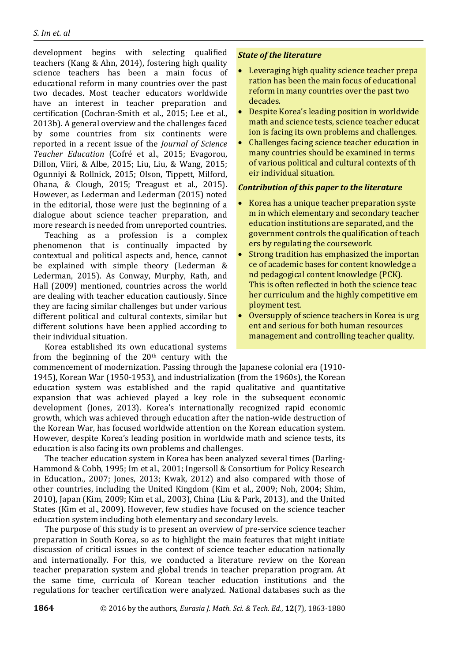development begins with selecting qualified teachers (Kang & Ahn, 2014), fostering high quality science teachers has been a main focus of educational reform in many countries over the past two decades. Most teacher educators worldwide have an interest in teacher preparation and certification (Cochran-Smith et al., 2015; Lee et al., 2013b). A general overview and the challenges faced by some countries from six continents were reported in a recent issue of the *Journal of Science Teacher Education* (Cofré et al., 2015; Evagorou, Dillon, Viiri, & Albe, 2015; Liu, Liu, & Wang, 2015; Ogunniyi & Rollnick, 2015; Olson, Tippett, Milford, Ohana, & Clough, 2015; Treagust et al., 2015). However, as Lederman and Lederman (2015) noted in the editorial, those were just the beginning of a dialogue about science teacher preparation, and more research is needed from unreported countries.

Teaching as a profession is a complex phenomenon that is continually impacted by contextual and political aspects and, hence, cannot be explained with simple theory (Lederman & Lederman, 2015). As Conway, Murphy, Rath, and Hall (2009) mentioned, countries across the world are dealing with teacher education cautiously. Since they are facing similar challenges but under various different political and cultural contexts, similar but different solutions have been applied according to their individual situation.

Korea established its own educational systems from the beginning of the  $20<sup>th</sup>$  century with the

#### *State of the literature*

- Leveraging high quality science teacher prepa ration has been the main focus of educational reform in many countries over the past two decades.
- Despite Korea's leading position in worldwide math and science tests, science teacher educat ion is facing its own problems and challenges.
- Challenges facing science teacher education in many countries should be examined in terms of various political and cultural contexts of th eir individual situation.

#### *Contribution of this paper to the literature*

- Korea has a unique teacher preparation syste m in which elementary and secondary teacher education institutions are separated, and the government controls the qualification of teach ers by regulating the coursework.
- Strong tradition has emphasized the importan ce of academic bases for content knowledge a nd pedagogical content knowledge (PCK). This is often reflected in both the science teac her curriculum and the highly competitive em ployment test.
- Oversupply of science teachers in Korea is urg ent and serious for both human resources management and controlling teacher quality.

commencement of modernization. Passing through the Japanese colonial era (1910- 1945), Korean War (1950-1953), and industrialization (from the 1960s), the Korean education system was established and the rapid qualitative and quantitative expansion that was achieved played a key role in the subsequent economic development (Jones, 2013). Korea's internationally recognized rapid economic growth, which was achieved through education after the nation-wide destruction of the Korean War, has focused worldwide attention on the Korean education system. However, despite Korea's leading position in worldwide math and science tests, its education is also facing its own problems and challenges.

The teacher education system in Korea has been analyzed several times (Darling-Hammond & Cobb, 1995; Im et al., 2001; Ingersoll & Consortium for Policy Research in Education., 2007; Jones, 2013; Kwak, 2012) and also compared with those of other countries, including the United Kingdom (Kim et al., 2009; Noh, 2004; Shim, 2010), Japan (Kim, 2009; Kim et al., 2003), China (Liu & Park, 2013), and the United States (Kim et al., 2009). However, few studies have focused on the science teacher education system including both elementary and secondary levels.

The purpose of this study is to present an overview of pre-service science teacher preparation in South Korea, so as to highlight the main features that might initiate discussion of critical issues in the context of science teacher education nationally and internationally. For this, we conducted a literature review on the Korean teacher preparation system and global trends in teacher preparation program. At the same time, curricula of Korean teacher education institutions and the regulations for teacher certification were analyzed. National databases such as the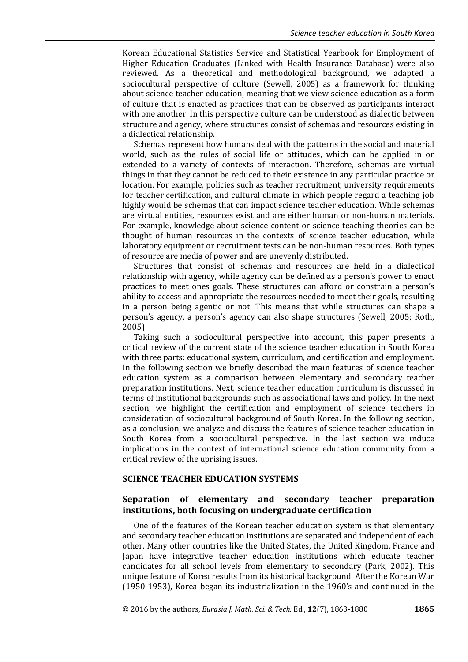Korean Educational Statistics Service and Statistical Yearbook for Employment of Higher Education Graduates (Linked with Health Insurance Database) were also reviewed. As a theoretical and methodological background, we adapted a sociocultural perspective of culture (Sewell, 2005) as a framework for thinking about science teacher education, meaning that we view science education as a form of culture that is enacted as practices that can be observed as participants interact with one another. In this perspective culture can be understood as dialectic between structure and agency, where structures consist of schemas and resources existing in a dialectical relationship.

Schemas represent how humans deal with the patterns in the social and material world, such as the rules of social life or attitudes, which can be applied in or extended to a variety of contexts of interaction. Therefore, schemas are virtual things in that they cannot be reduced to their existence in any particular practice or location. For example, policies such as teacher recruitment, university requirements for teacher certification, and cultural climate in which people regard a teaching job highly would be schemas that can impact science teacher education. While schemas are virtual entities, resources exist and are either human or non-human materials. For example, knowledge about science content or science teaching theories can be thought of human resources in the contexts of science teacher education, while laboratory equipment or recruitment tests can be non-human resources. Both types of resource are media of power and are unevenly distributed.

Structures that consist of schemas and resources are held in a dialectical relationship with agency, while agency can be defined as a person's power to enact practices to meet ones goals. These structures can afford or constrain a person's ability to access and appropriate the resources needed to meet their goals, resulting in a person being agentic or not. This means that while structures can shape a person's agency, a person's agency can also shape structures (Sewell, 2005; Roth, 2005).

Taking such a sociocultural perspective into account, this paper presents a critical review of the current state of the science teacher education in South Korea with three parts: educational system, curriculum, and certification and employment. In the following section we briefly described the main features of science teacher education system as a comparison between elementary and secondary teacher preparation institutions. Next, science teacher education curriculum is discussed in terms of institutional backgrounds such as associational laws and policy. In the next section, we highlight the certification and employment of science teachers in consideration of sociocultural background of South Korea. In the following section, as a conclusion, we analyze and discuss the features of science teacher education in South Korea from a sociocultural perspective. In the last section we induce implications in the context of international science education community from a critical review of the uprising issues.

#### **SCIENCE TEACHER EDUCATION SYSTEMS**

## **Separation of elementary and secondary teacher preparation institutions, both focusing on undergraduate certification**

One of the features of the Korean teacher education system is that elementary and secondary teacher education institutions are separated and independent of each other. Many other countries like the United States, the United Kingdom, France and Japan have integrative teacher education institutions which educate teacher candidates for all school levels from elementary to secondary (Park, 2002). This unique feature of Korea results from its historical background. After the Korean War (1950-1953), Korea began its industrialization in the 1960's and continued in the

© 2016 by the authors, *Eurasia J. Math. Sci. & Tech.* Ed*.*, **12**(7), 1863-1880 **1865**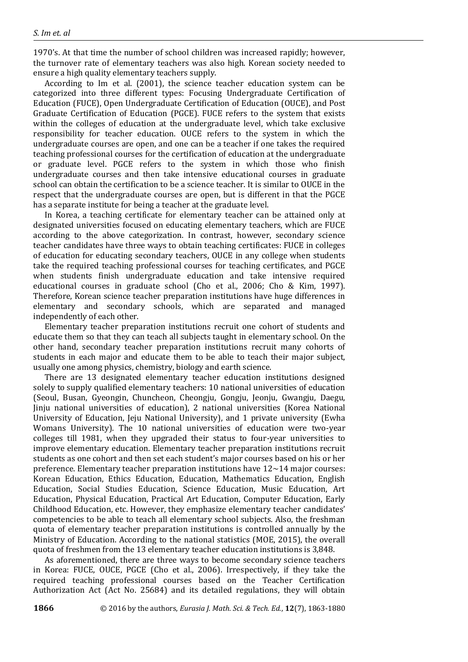1970's. At that time the number of school children was increased rapidly; however, the turnover rate of elementary teachers was also high. Korean society needed to ensure a high quality elementary teachers supply.

According to Im et al. (2001), the science teacher education system can be categorized into three different types: Focusing Undergraduate Certification of Education (FUCE), Open Undergraduate Certification of Education (OUCE), and Post Graduate Certification of Education (PGCE). FUCE refers to the system that exists within the colleges of education at the undergraduate level, which take exclusive responsibility for teacher education. OUCE refers to the system in which the undergraduate courses are open, and one can be a teacher if one takes the required teaching professional courses for the certification of education at the undergraduate or graduate level. PGCE refers to the system in which those who finish undergraduate courses and then take intensive educational courses in graduate school can obtain the certification to be a science teacher. It is similar to OUCE in the respect that the undergraduate courses are open, but is different in that the PGCE has a separate institute for being a teacher at the graduate level.

In Korea, a teaching certificate for elementary teacher can be attained only at designated universities focused on educating elementary teachers, which are FUCE according to the above categorization. In contrast, however, secondary science teacher candidates have three ways to obtain teaching certificates: FUCE in colleges of education for educating secondary teachers, OUCE in any college when students take the required teaching professional courses for teaching certificates, and PGCE when students finish undergraduate education and take intensive required educational courses in graduate school (Cho et al., 2006; Cho & Kim, 1997). Therefore, Korean science teacher preparation institutions have huge differences in elementary and secondary schools, which are separated and managed independently of each other.

Elementary teacher preparation institutions recruit one cohort of students and educate them so that they can teach all subjects taught in elementary school. On the other hand, secondary teacher preparation institutions recruit many cohorts of students in each major and educate them to be able to teach their major subject, usually one among physics, chemistry, biology and earth science.

There are 13 designated elementary teacher education institutions designed solely to supply qualified elementary teachers: 10 national universities of education (Seoul, Busan, Gyeongin, Chuncheon, Cheongju, Gongju, Jeonju, Gwangju, Daegu, Jinju national universities of education), 2 national universities (Korea National University of Education, Jeju National University), and 1 private university (Ewha Womans University). The 10 national universities of education were two-year colleges till 1981, when they upgraded their status to four-year universities to improve elementary education. Elementary teacher preparation institutions recruit students as one cohort and then set each student's major courses based on his or her preference. Elementary teacher preparation institutions have 12~14 major courses: Korean Education, Ethics Education, Education, Mathematics Education, English Education, Social Studies Education, Science Education, Music Education, Art Education, Physical Education, Practical Art Education, Computer Education, Early Childhood Education, etc. However, they emphasize elementary teacher candidates' competencies to be able to teach all elementary school subjects. Also, the freshman quota of elementary teacher preparation institutions is controlled annually by the Ministry of Education. According to the national statistics (MOE, 2015), the overall quota of freshmen from the 13 elementary teacher education institutions is 3,848.

As aforementioned, there are three ways to become secondary science teachers in Korea: FUCE, OUCE, PGCE (Cho et al., 2006). Irrespectively, if they take the required teaching professional courses based on the Teacher Certification Authorization Act (Act No. 25684) and its detailed regulations, they will obtain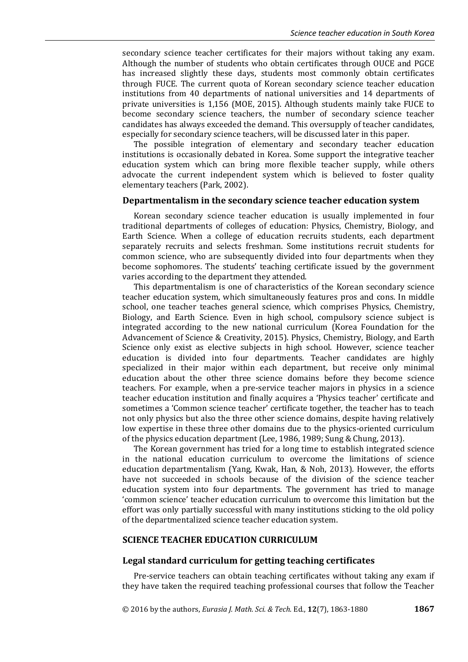secondary science teacher certificates for their majors without taking any exam. Although the number of students who obtain certificates through OUCE and PGCE has increased slightly these days, students most commonly obtain certificates through FUCE. The current quota of Korean secondary science teacher education institutions from 40 departments of national universities and 14 departments of private universities is 1,156 (MOE, 2015). Although students mainly take FUCE to become secondary science teachers, the number of secondary science teacher candidates has always exceeded the demand. This oversupply of teacher candidates, especially for secondary science teachers, will be discussed later in this paper.

The possible integration of elementary and secondary teacher education institutions is occasionally debated in Korea. Some support the integrative teacher education system which can bring more flexible teacher supply, while others advocate the current independent system which is believed to foster quality elementary teachers (Park, 2002).

#### **Departmentalism in the secondary science teacher education system**

Korean secondary science teacher education is usually implemented in four traditional departments of colleges of education: Physics, Chemistry, Biology, and Earth Science. When a college of education recruits students, each department separately recruits and selects freshman. Some institutions recruit students for common science, who are subsequently divided into four departments when they become sophomores. The students' teaching certificate issued by the government varies according to the department they attended.

This departmentalism is one of characteristics of the Korean secondary science teacher education system, which simultaneously features pros and cons. In middle school, one teacher teaches general science, which comprises Physics, Chemistry, Biology, and Earth Science. Even in high school, compulsory science subject is integrated according to the new national curriculum (Korea Foundation for the Advancement of Science & Creativity, 2015). Physics, Chemistry, Biology, and Earth Science only exist as elective subjects in high school. However, science teacher education is divided into four departments. Teacher candidates are highly specialized in their major within each department, but receive only minimal education about the other three science domains before they become science teachers. For example, when a pre-service teacher majors in physics in a science teacher education institution and finally acquires a 'Physics teacher' certificate and sometimes a 'Common science teacher' certificate together, the teacher has to teach not only physics but also the three other science domains, despite having relatively low expertise in these three other domains due to the physics-oriented curriculum of the physics education department (Lee, 1986, 1989; Sung & Chung, 2013).

The Korean government has tried for a long time to establish integrated science in the national education curriculum to overcome the limitations of science education departmentalism (Yang, Kwak, Han, & Noh, 2013). However, the efforts have not succeeded in schools because of the division of the science teacher education system into four departments. The government has tried to manage 'common science' teacher education curriculum to overcome this limitation but the effort was only partially successful with many institutions sticking to the old policy of the departmentalized science teacher education system.

## **SCIENCE TEACHER EDUCATION CURRICULUM**

#### **Legal standard curriculum for getting teaching certificates**

Pre-service teachers can obtain teaching certificates without taking any exam if they have taken the required teaching professional courses that follow the Teacher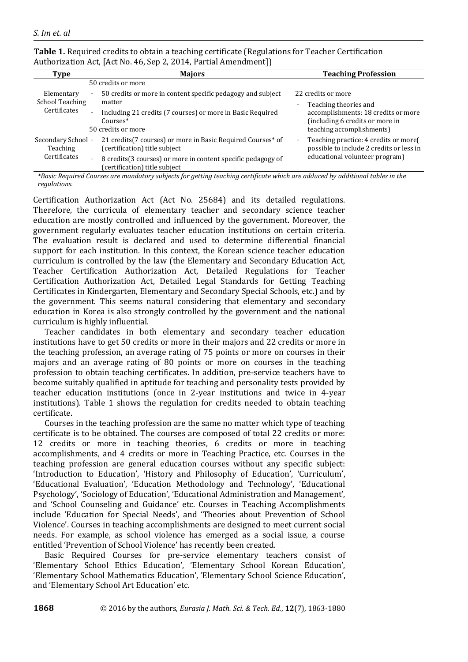| Type                                           | <b>Majors</b>                                                                                                              | <b>Teaching Profession</b>                                                                          |  |  |
|------------------------------------------------|----------------------------------------------------------------------------------------------------------------------------|-----------------------------------------------------------------------------------------------------|--|--|
|                                                | 50 credits or more                                                                                                         |                                                                                                     |  |  |
| Elementary<br>School Teaching<br>Certificates  | 50 credits or more in content specific pedagogy and subject<br>۰<br>matter                                                 | 22 credits or more<br>Teaching theories and<br>$\sim$                                               |  |  |
|                                                | Including 21 credits (7 courses) or more in Basic Required<br>$\overline{\phantom{0}}$<br>$Conrses*$<br>50 credits or more | accomplishments: 18 credits or more<br>(including 6 credits or more in<br>teaching accomplishments) |  |  |
| Secondary School -<br>Teaching<br>Certificates | 21 credits (7 courses) or more in Basic Required Courses* of<br>(certification) title subject                              | Teaching practice: 4 credits or more<br>$\sim$<br>possible to include 2 credits or less in          |  |  |
|                                                | 8 credits (3 courses) or more in content specific pedagogy of<br>$\overline{\phantom{0}}$<br>(certification) title subject | educational volunteer program)                                                                      |  |  |

**Table 1.** Required credits to obtain a teaching certificate (Regulations for Teacher Certification Authorization Act, [Act No. 46, Sep 2, 2014, Partial Amendment])

*\*Basic Required Courses are mandatory subjects for getting teaching certificate which are adduced by additional tables in the regulations.*

Certification Authorization Act (Act No. 25684) and its detailed regulations. Therefore, the curricula of elementary teacher and secondary science teacher education are mostly controlled and influenced by the government. Moreover, the government regularly evaluates teacher education institutions on certain criteria. The evaluation result is declared and used to determine differential financial support for each institution. In this context, the Korean science teacher education curriculum is controlled by the law (the Elementary and Secondary Education Act, Teacher Certification Authorization Act, Detailed Regulations for Teacher Certification Authorization Act, Detailed Legal Standards for Getting Teaching Certificates in Kindergarten, Elementary and Secondary Special Schools, etc.) and by the government. This seems natural considering that elementary and secondary education in Korea is also strongly controlled by the government and the national curriculum is highly influential.

Teacher candidates in both elementary and secondary teacher education institutions have to get 50 credits or more in their majors and 22 credits or more in the teaching profession, an average rating of 75 points or more on courses in their majors and an average rating of 80 points or more on courses in the teaching profession to obtain teaching certificates. In addition, pre-service teachers have to become suitably qualified in aptitude for teaching and personality tests provided by teacher education institutions (once in 2-year institutions and twice in 4-year institutions). Table 1 shows the regulation for credits needed to obtain teaching certificate.

Courses in the teaching profession are the same no matter which type of teaching certificate is to be obtained. The courses are composed of total 22 credits or more: 12 credits or more in teaching theories, 6 credits or more in teaching accomplishments, and 4 credits or more in Teaching Practice, etc. Courses in the teaching profession are general education courses without any specific subject: 'Introduction to Education', 'History and Philosophy of Education', 'Curriculum', 'Educational Evaluation', 'Education Methodology and Technology', 'Educational Psychology', 'Sociology of Education', 'Educational Administration and Management', and 'School Counseling and Guidance' etc. Courses in Teaching Accomplishments include 'Education for Special Needs', and 'Theories about Prevention of School Violence'. Courses in teaching accomplishments are designed to meet current social needs. For example, as school violence has emerged as a social issue, a course entitled 'Prevention of School Violence' has recently been created.

Basic Required Courses for pre-service elementary teachers consist of 'Elementary School Ethics Education', 'Elementary School Korean Education', 'Elementary School Mathematics Education', 'Elementary School Science Education', and 'Elementary School Art Education' etc.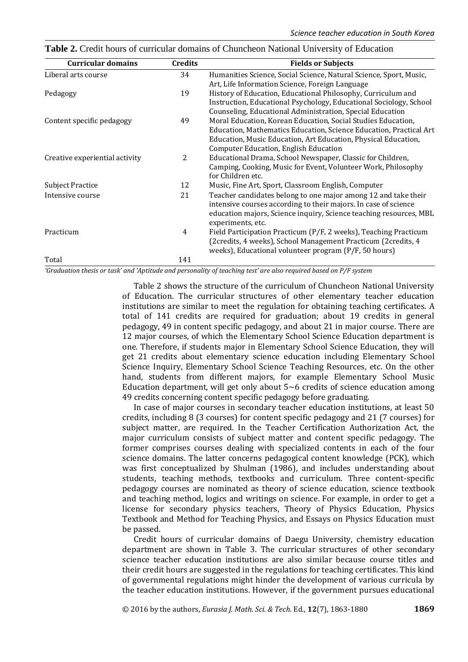| <b>Curricular domains</b>      | <b>Credits</b> | <b>Fields or Subjects</b>                                          |
|--------------------------------|----------------|--------------------------------------------------------------------|
| Liberal arts course            | 34             | Humanities Science, Social Science, Natural Science, Sport, Music, |
|                                |                | Art, Life Information Science, Foreign Language                    |
| Pedagogy                       | 19             | History of Education, Educational Philosophy, Curriculum and       |
|                                |                | Instruction, Educational Psychology, Educational Sociology, School |
|                                |                | Counseling, Educational Administration, Special Education          |
| Content specific pedagogy      | 49             | Moral Education, Korean Education, Social Studies Education,       |
|                                |                | Education, Mathematics Education, Science Education, Practical Art |
|                                |                | Education, Music Education, Art Education, Physical Education,     |
|                                |                | Computer Education, English Education                              |
| Creative experiential activity | 2              | Educational Drama, School Newspaper, Classic for Children,         |
|                                |                | Camping, Cooking, Music for Event, Volunteer Work, Philosophy      |
|                                |                | for Children etc.                                                  |
| Subject Practice               | 12             | Music, Fine Art, Sport, Classroom English, Computer                |
| Intensive course               | 21             | Teacher candidates belong to one major among 12 and take their     |
|                                |                | intensive courses according to their majors. In case of science    |
|                                |                | education majors, Science inquiry, Science teaching resources, MBL |
|                                |                | experiments, etc.                                                  |
| Practicum                      | 4              | Field Participation Practicum (P/F, 2 weeks), Teaching Practicum   |
|                                |                | (2credits, 4 weeks), School Management Practicum (2credits, 4      |
|                                |                | weeks), Educational volunteer program (P/F, 50 hours)              |
| Total                          | 141            |                                                                    |

**Table 2.** Credit hours of curricular domains of Chuncheon National University of Education

*'Graduation thesis or task' and 'Aptitude and personality of teaching test' are also required based on P/F system*

Table 2 shows the structure of the curriculum of Chuncheon National University of Education. The curricular structures of other elementary teacher education institutions are similar to meet the regulation for obtaining teaching certificates. A total of 141 credits are required for graduation; about 19 credits in general pedagogy, 49 in content specific pedagogy, and about 21 in major course. There are 12 major courses, of which the Elementary School Science Education department is one. Therefore, if students major in Elementary School Science Education, they will get 21 credits about elementary science education including Elementary School Science Inquiry, Elementary School Science Teaching Resources, etc. On the other hand, students from different majors, for example Elementary School Music Education department, will get only about  $5~6$  credits of science education among 49 credits concerning content specific pedagogy before graduating.

In case of major courses in secondary teacher education institutions, at least 50 credits, including 8 (3 courses) for content specific pedagogy and 21 (7 courses) for subject matter, are required. In the Teacher Certification Authorization Act, the major curriculum consists of subject matter and content specific pedagogy. The former comprises courses dealing with specialized contents in each of the four science domains. The latter concerns pedagogical content knowledge (PCK), which was first conceptualized by Shulman (1986), and includes understanding about students, teaching methods, textbooks and curriculum. Three content-specific pedagogy courses are nominated as theory of science education, science textbook and teaching method, logics and writings on science. For example, in order to get a license for secondary physics teachers, Theory of Physics Education, Physics Textbook and Method for Teaching Physics, and Essays on Physics Education must be passed.

Credit hours of curricular domains of Daegu University, chemistry education department are shown in Table 3. The curricular structures of other secondary science teacher education institutions are also similar because course titles and their credit hours are suggested in the regulations for teaching certificates. This kind of governmental regulations might hinder the development of various curricula by the teacher education institutions. However, if the government pursues educational

© 2016 by the authors, *Eurasia J. Math. Sci. & Tech.* Ed*.*, **12**(7), 1863-1880 **1869**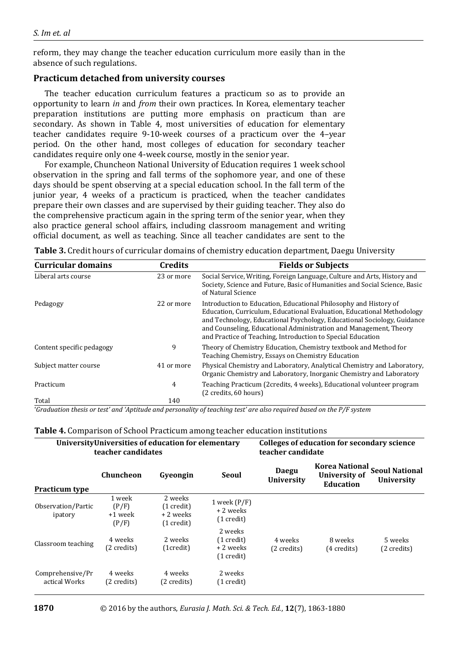reform, they may change the teacher education curriculum more easily than in the absence of such regulations.

# **Practicum detached from university courses**

The teacher education curriculum features a practicum so as to provide an opportunity to learn *in* and *from* their own practices. In Korea, elementary teacher preparation institutions are putting more emphasis on practicum than are secondary. As shown in Table 4, most universities of education for elementary teacher candidates require 9-10-week courses of a practicum over the 4–year period. On the other hand, most colleges of education for secondary teacher candidates require only one 4-week course, mostly in the senior year.

For example, Chuncheon National University of Education requires 1 week school observation in the spring and fall terms of the sophomore year, and one of these days should be spent observing at a special education school. In the fall term of the junior year, 4 weeks of a practicum is practiced, when the teacher candidates prepare their own classes and are supervised by their guiding teacher. They also do the comprehensive practicum again in the spring term of the senior year, when they also practice general school affairs, including classroom management and writing official document, as well as teaching. Since all teacher candidates are sent to the

**Table 3.** Credit hours of curricular domains of chemistry education department, Daegu University

| <b>Curricular domains</b> | Credits    | <b>Fields or Subjects</b>                                                                                                                                                                                                                                                                                                                                 |
|---------------------------|------------|-----------------------------------------------------------------------------------------------------------------------------------------------------------------------------------------------------------------------------------------------------------------------------------------------------------------------------------------------------------|
| Liberal arts course       | 23 or more | Social Service, Writing, Foreign Language, Culture and Arts, History and<br>Society, Science and Future, Basic of Humanities and Social Science, Basic<br>of Natural Science                                                                                                                                                                              |
| Pedagogy                  | 22 or more | Introduction to Education, Educational Philosophy and History of<br>Education, Curriculum, Educational Evaluation, Educational Methodology<br>and Technology, Educational Psychology, Educational Sociology, Guidance<br>and Counseling, Educational Administration and Management, Theory<br>and Practice of Teaching, Introduction to Special Education |
| Content specific pedagogy | 9          | Theory of Chemistry Education, Chemistry textbook and Method for<br>Teaching Chemistry, Essays on Chemistry Education                                                                                                                                                                                                                                     |
| Subject matter course     | 41 or more | Physical Chemistry and Laboratory, Analytical Chemistry and Laboratory.<br>Organic Chemistry and Laboratory, Inorganic Chemistry and Laboratory                                                                                                                                                                                                           |
| Practicum                 | 4          | Teaching Practicum (2credits, 4 weeks), Educational volunteer program<br>(2 credits, 60 hours)                                                                                                                                                                                                                                                            |
| Total                     | 140        |                                                                                                                                                                                                                                                                                                                                                           |

'*Graduation thesis or test' and 'Aptitude and personality of teaching test' are also required based on the P/F system*

|  | Table 4. Comparison of School Practicum among teacher education institutions |  |  |  |  |  |  |  |
|--|------------------------------------------------------------------------------|--|--|--|--|--|--|--|
|--|------------------------------------------------------------------------------|--|--|--|--|--|--|--|

| University Universities of education for elementary<br>teacher candidates |                                     |                                                                      | <b>Colleges of education for secondary science</b><br>teacher candidate |                            |                                                     |                                            |
|---------------------------------------------------------------------------|-------------------------------------|----------------------------------------------------------------------|-------------------------------------------------------------------------|----------------------------|-----------------------------------------------------|--------------------------------------------|
| <b>Practicum type</b>                                                     | Chuncheon                           | Gyeongin                                                             | <b>Seoul</b>                                                            | Daegu<br><b>University</b> | Korea National<br><b>University of</b><br>Education | <b>Seoul National</b><br><b>University</b> |
| Observation/Partic<br>ipatory                                             | 1 week<br>(P/F)<br>+1 week<br>(P/F) | 2 weeks<br>$(1 \text{ credit})$<br>+ 2 weeks<br>$(1 \text{ credit})$ | 1 week $(P/F)$<br>+2 weeks<br>$(1 \text{ credit})$                      |                            |                                                     |                                            |
| Classroom teaching                                                        | 4 weeks<br>(2 credits)              | 2 weeks<br>(1credit)                                                 | 2 weeks<br>$(1 \text{ credit})$<br>+ 2 weeks<br>$(1 \text{ credit})$    | 4 weeks<br>(2 credits)     | 8 weeks<br>(4 credits)                              | 5 weeks<br>(2 credits)                     |
| Comprehensive/Pr<br>actical Works                                         | 4 weeks<br>(2 credits)              | 4 weeks<br>(2 credits)                                               | 2 weeks<br>$(1 \text{ credit})$                                         |                            |                                                     |                                            |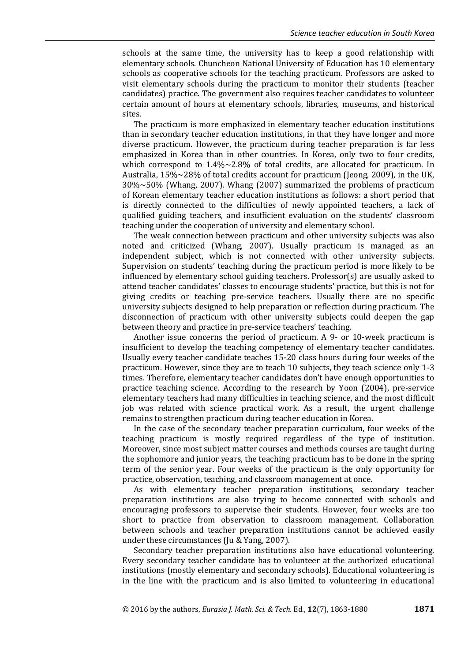schools at the same time, the university has to keep a good relationship with elementary schools. Chuncheon National University of Education has 10 elementary schools as cooperative schools for the teaching practicum. Professors are asked to visit elementary schools during the practicum to monitor their students (teacher candidates) practice. The government also requires teacher candidates to volunteer certain amount of hours at elementary schools, libraries, museums, and historical sites.

The practicum is more emphasized in elementary teacher education institutions than in secondary teacher education institutions, in that they have longer and more diverse practicum. However, the practicum during teacher preparation is far less emphasized in Korea than in other countries. In Korea, only two to four credits, which correspond to  $1.4\% \sim 2.8\%$  of total credits, are allocated for practicum. In Australia, 15%~28% of total credits account for practicum (Jeong, 2009), in the UK, 30%~50% (Whang, 2007). Whang (2007) summarized the problems of practicum of Korean elementary teacher education institutions as follows: a short period that is directly connected to the difficulties of newly appointed teachers, a lack of qualified guiding teachers, and insufficient evaluation on the students' classroom teaching under the cooperation of university and elementary school.

The weak connection between practicum and other university subjects was also noted and criticized (Whang, 2007). Usually practicum is managed as an independent subject, which is not connected with other university subjects. Supervision on students' teaching during the practicum period is more likely to be influenced by elementary school guiding teachers. Professor(s) are usually asked to attend teacher candidates' classes to encourage students' practice, but this is not for giving credits or teaching pre-service teachers. Usually there are no specific university subjects designed to help preparation or reflection during practicum. The disconnection of practicum with other university subjects could deepen the gap between theory and practice in pre-service teachers' teaching.

Another issue concerns the period of practicum. A 9- or 10-week practicum is insufficient to develop the teaching competency of elementary teacher candidates. Usually every teacher candidate teaches 15-20 class hours during four weeks of the practicum. However, since they are to teach 10 subjects, they teach science only 1-3 times. Therefore, elementary teacher candidates don't have enough opportunities to practice teaching science. According to the research by Yoon (2004), pre-service elementary teachers had many difficulties in teaching science, and the most difficult job was related with science practical work. As a result, the urgent challenge remains to strengthen practicum during teacher education in Korea.

In the case of the secondary teacher preparation curriculum, four weeks of the teaching practicum is mostly required regardless of the type of institution. Moreover, since most subject matter courses and methods courses are taught during the sophomore and junior years, the teaching practicum has to be done in the spring term of the senior year. Four weeks of the practicum is the only opportunity for practice, observation, teaching, and classroom management at once.

As with elementary teacher preparation institutions, secondary teacher preparation institutions are also trying to become connected with schools and encouraging professors to supervise their students. However, four weeks are too short to practice from observation to classroom management. Collaboration between schools and teacher preparation institutions cannot be achieved easily under these circumstances (Ju & Yang, 2007).

Secondary teacher preparation institutions also have educational volunteering. Every secondary teacher candidate has to volunteer at the authorized educational institutions (mostly elementary and secondary schools). Educational volunteering is in the line with the practicum and is also limited to volunteering in educational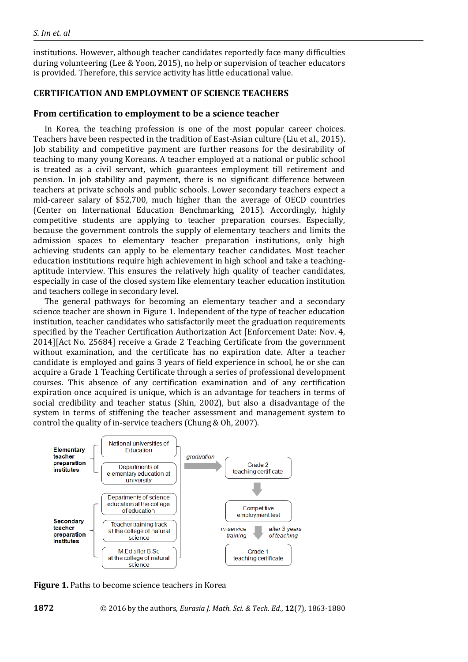institutions. However, although teacher candidates reportedly face many difficulties during volunteering (Lee & Yoon, 2015), no help or supervision of teacher educators is provided. Therefore, this service activity has little educational value.

## **CERTIFICATION AND EMPLOYMENT OF SCIENCE TEACHERS**

## **From certification to employment to be a science teacher**

In Korea, the teaching profession is one of the most popular career choices. Teachers have been respected in the tradition of East-Asian culture (Liu et al., 2015). Job stability and competitive payment are further reasons for the desirability of teaching to many young Koreans. A teacher employed at a national or public school is treated as a civil servant, which guarantees employment till retirement and pension. In job stability and payment, there is no significant difference between teachers at private schools and public schools. Lower secondary teachers expect a mid-career salary of \$52,700, much higher than the average of OECD countries (Center on International Education Benchmarking, 2015). Accordingly, highly competitive students are applying to teacher preparation courses. Especially, because the government controls the supply of elementary teachers and limits the admission spaces to elementary teacher preparation institutions, only high achieving students can apply to be elementary teacher candidates. Most teacher education institutions require high achievement in high school and take a teachingaptitude interview. This ensures the relatively high quality of teacher candidates, especially in case of the closed system like elementary teacher education institution and teachers college in secondary level.

The general pathways for becoming an elementary teacher and a secondary science teacher are shown in Figure 1. Independent of the type of teacher education institution, teacher candidates who satisfactorily meet the graduation requirements specified by the Teacher Certification Authorization Act [Enforcement Date: Nov. 4, 2014][Act No. 25684] receive a Grade 2 Teaching Certificate from the government without examination, and the certificate has no expiration date. After a teacher candidate is employed and gains 3 years of field experience in school, he or she can acquire a Grade 1 Teaching Certificate through a series of professional development courses. This absence of any certification examination and of any certification expiration once acquired is unique, which is an advantage for teachers in terms of social credibility and teacher status (Shin, 2002), but also a disadvantage of the system in terms of stiffening the teacher assessment and management system to control the quality of in-service teachers (Chung & Oh, 2007).



**Figure 1.** Paths to become science teachers in Korea

**1872** © 2016 by the authors, *Eurasia J. Math. Sci. & Tech. Ed.*, **12**(7), 1863-1880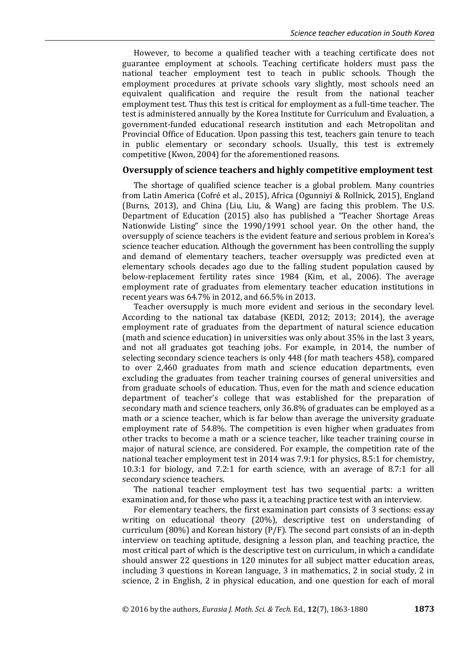However, to become a qualified teacher with a teaching certificate does not guarantee employment at schools. Teaching certificate holders must pass the national teacher employment test to teach in public schools. Though the employment procedures at private schools vary slightly, most schools need an equivalent qualification and require the result from the national teacher employment test. Thus this test is critical for employment as a full-time teacher. The test is administered annually by the Korea Institute for Curriculum and Evaluation, a government-funded educational research institution and each Metropolitan and Provincial Office of Education. Upon passing this test, teachers gain tenure to teach in public elementary or secondary schools. Usually, this test is extremely competitive (Kwon, 2004) for the aforementioned reasons.

#### **Oversupply of science teachers and highly competitive employment test**

The shortage of qualified science teacher is a global problem. Many countries from Latin America (Cofré et al., 2015), Africa (Ogunniyi & Rollnick, 2015), England (Burns, 2013), and China (Liu, Liu, & Wang) are facing this problem. The U.S. Department of Education (2015) also has published a "Teacher Shortage Areas Nationwide Listing" since the 1990/1991 school year. On the other hand, the oversupply of science teachers is the evident feature and serious problem in Korea's science teacher education. Although the government has been controlling the supply and demand of elementary teachers, teacher oversupply was predicted even at elementary schools decades ago due to the falling student population caused by below-replacement fertility rates since 1984 (Kim, et al., 2006). The average employment rate of graduates from elementary teacher education institutions in recent years was 64.7% in 2012, and 66.5% in 2013.

Teacher oversupply is much more evident and serious in the secondary level. According to the national tax database (KEDI, 2012; 2013; 2014), the average employment rate of graduates from the department of natural science education (math and science education) in universities was only about 35% in the last 3 years, and not all graduates got teaching jobs. For example, in 2014, the number of selecting secondary science teachers is only 448 (for math teachers 458), compared to over 2,460 graduates from math and science education departments, even excluding the graduates from teacher training courses of general universities and from graduate schools of education. Thus, even for the math and science education department of teacher's college that was established for the preparation of secondary math and science teachers, only 36.8% of graduates can be employed as a math or a science teacher, which is far below than average the university graduate employment rate of 54.8%. The competition is even higher when graduates from other tracks to become a math or a science teacher, like teacher training course in major of natural science, are considered. For example, the competition rate of the national teacher employment test in 2014 was 7.9:1 for physics, 8.5:1 for chemistry, 10.3:1 for biology, and 7.2:1 for earth science, with an average of 8.7:1 for all secondary science teachers.

The national teacher employment test has two sequential parts: a written examination and, for those who pass it, a teaching practice test with an interview.

For elementary teachers, the first examination part consists of 3 sections: essay writing on educational theory (20%), descriptive test on understanding of curriculum (80%) and Korean history  $(P/F)$ . The second part consists of an in-depth interview on teaching aptitude, designing a lesson plan, and teaching practice, the most critical part of which is the descriptive test on curriculum, in which a candidate should answer 22 questions in 120 minutes for all subject matter education areas, including 3 questions in Korean language, 3 in mathematics, 2 in social study, 2 in science, 2 in English, 2 in physical education, and one question for each of moral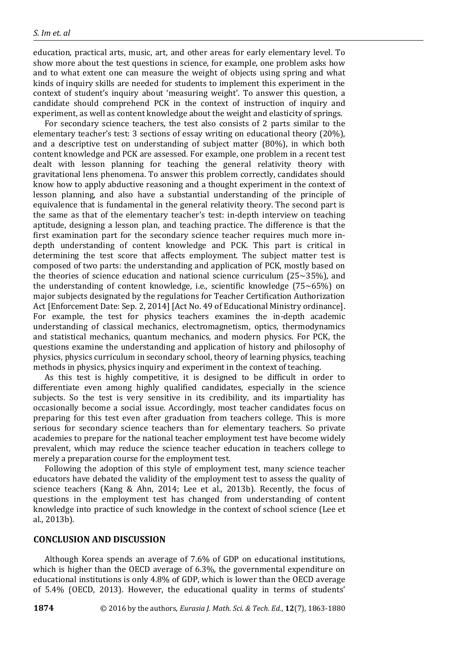education, practical arts, music, art, and other areas for early elementary level. To show more about the test questions in science, for example, one problem asks how and to what extent one can measure the weight of objects using spring and what kinds of inquiry skills are needed for students to implement this experiment in the context of student's inquiry about 'measuring weight'. To answer this question, a candidate should comprehend PCK in the context of instruction of inquiry and experiment, as well as content knowledge about the weight and elasticity of springs.

For secondary science teachers, the test also consists of 2 parts similar to the elementary teacher's test: 3 sections of essay writing on educational theory (20%), and a descriptive test on understanding of subject matter (80%), in which both content knowledge and PCK are assessed. For example, one problem in a recent test dealt with lesson planning for teaching the general relativity theory with gravitational lens phenomena. To answer this problem correctly, candidates should know how to apply abductive reasoning and a thought experiment in the context of lesson planning, and also have a substantial understanding of the principle of equivalence that is fundamental in the general relativity theory. The second part is the same as that of the elementary teacher's test: in-depth interview on teaching aptitude, designing a lesson plan, and teaching practice. The difference is that the first examination part for the secondary science teacher requires much more indepth understanding of content knowledge and PCK. This part is critical in determining the test score that affects employment. The subject matter test is composed of two parts: the understanding and application of PCK, mostly based on the theories of science education and national science curriculum ( $25~35\%$ ), and the understanding of content knowledge, i.e., scientific knowledge (75~65%) on major subjects designated by the regulations for Teacher Certification Authorization Act [Enforcement Date: Sep. 2, 2014] [Act No. 49 of Educational Ministry ordinance]. For example, the test for physics teachers examines the in-depth academic understanding of classical mechanics, electromagnetism, optics, thermodynamics and statistical mechanics, quantum mechanics, and modern physics. For PCK, the questions examine the understanding and application of history and philosophy of physics, physics curriculum in secondary school, theory of learning physics, teaching methods in physics, physics inquiry and experiment in the context of teaching.

As this test is highly competitive, it is designed to be difficult in order to differentiate even among highly qualified candidates, especially in the science subjects. So the test is very sensitive in its credibility, and its impartiality has occasionally become a social issue. Accordingly, most teacher candidates focus on preparing for this test even after graduation from teachers college. This is more serious for secondary science teachers than for elementary teachers. So private academies to prepare for the national teacher employment test have become widely prevalent, which may reduce the science teacher education in teachers college to merely a preparation course for the employment test.

Following the adoption of this style of employment test, many science teacher educators have debated the validity of the employment test to assess the quality of science teachers (Kang & Ahn, 2014; Lee et al., 2013b). Recently, the focus of questions in the employment test has changed from understanding of content knowledge into practice of such knowledge in the context of school science (Lee et al., 2013b).

#### **CONCLUSION AND DISCUSSION**

Although Korea spends an average of 7.6% of GDP on educational institutions, which is higher than the OECD average of 6.3%, the governmental expenditure on educational institutions is only 4.8% of GDP, which is lower than the OECD average of 5.4% (OECD, 2013). However, the educational quality in terms of students'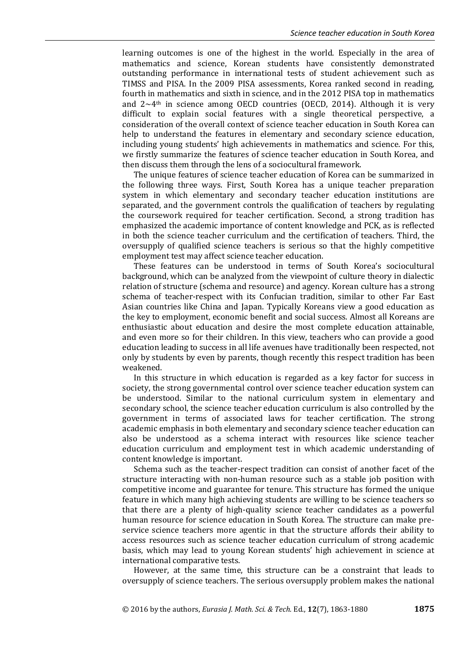learning outcomes is one of the highest in the world. Especially in the area of mathematics and science, Korean students have consistently demonstrated outstanding performance in international tests of student achievement such as TIMSS and PISA. In the 2009 PISA assessments, Korea ranked second in reading, fourth in mathematics and sixth in science, and in the 2012 PISA top in mathematics and  $2 \sim 4$ <sup>th</sup> in science among OECD countries (OECD, 2014). Although it is very difficult to explain social features with a single theoretical perspective, a consideration of the overall context of science teacher education in South Korea can help to understand the features in elementary and secondary science education, including young students' high achievements in mathematics and science. For this, we firstly summarize the features of science teacher education in South Korea, and then discuss them through the lens of a sociocultural framework.

The unique features of science teacher education of Korea can be summarized in the following three ways. First, South Korea has a unique teacher preparation system in which elementary and secondary teacher education institutions are separated, and the government controls the qualification of teachers by regulating the coursework required for teacher certification. Second, a strong tradition has emphasized the academic importance of content knowledge and PCK, as is reflected in both the science teacher curriculum and the certification of teachers. Third, the oversupply of qualified science teachers is serious so that the highly competitive employment test may affect science teacher education.

These features can be understood in terms of South Korea's sociocultural background, which can be analyzed from the viewpoint of culture theory in dialectic relation of structure (schema and resource) and agency. Korean culture has a strong schema of teacher-respect with its Confucian tradition, similar to other Far East Asian countries like China and Japan. Typically Koreans view a good education as the key to employment, economic benefit and social success. Almost all Koreans are enthusiastic about education and desire the most complete education attainable, and even more so for their children. In this view, teachers who can provide a good education leading to success in all life avenues have traditionally been respected, not only by students by even by parents, though recently this respect tradition has been weakened.

In this structure in which education is regarded as a key factor for success in society, the strong governmental control over science teacher education system can be understood. Similar to the national curriculum system in elementary and secondary school, the science teacher education curriculum is also controlled by the government in terms of associated laws for teacher certification. The strong academic emphasis in both elementary and secondary science teacher education can also be understood as a schema interact with resources like science teacher education curriculum and employment test in which academic understanding of content knowledge is important.

Schema such as the teacher-respect tradition can consist of another facet of the structure interacting with non-human resource such as a stable job position with competitive income and guarantee for tenure. This structure has formed the unique feature in which many high achieving students are willing to be science teachers so that there are a plenty of high-quality science teacher candidates as a powerful human resource for science education in South Korea. The structure can make preservice science teachers more agentic in that the structure affords their ability to access resources such as science teacher education curriculum of strong academic basis, which may lead to young Korean students' high achievement in science at international comparative tests.

However, at the same time, this structure can be a constraint that leads to oversupply of science teachers. The serious oversupply problem makes the national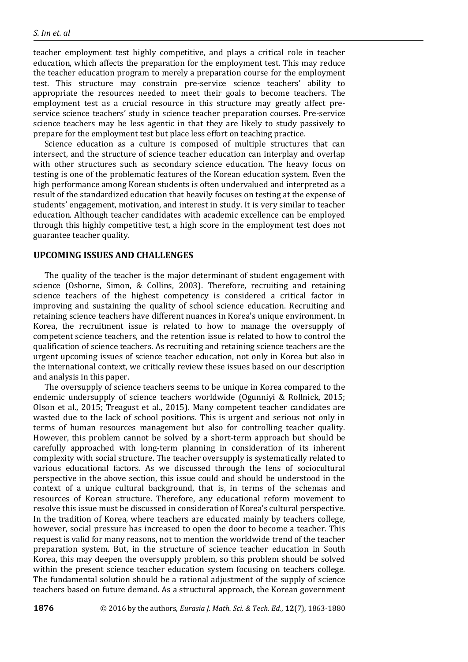teacher employment test highly competitive, and plays a critical role in teacher education, which affects the preparation for the employment test. This may reduce the teacher education program to merely a preparation course for the employment test. This structure may constrain pre-service science teachers' ability to appropriate the resources needed to meet their goals to become teachers. The employment test as a crucial resource in this structure may greatly affect preservice science teachers' study in science teacher preparation courses. Pre-service science teachers may be less agentic in that they are likely to study passively to prepare for the employment test but place less effort on teaching practice.

Science education as a culture is composed of multiple structures that can intersect, and the structure of science teacher education can interplay and overlap with other structures such as secondary science education. The heavy focus on testing is one of the problematic features of the Korean education system. Even the high performance among Korean students is often undervalued and interpreted as a result of the standardized education that heavily focuses on testing at the expense of students' engagement, motivation, and interest in study. It is very similar to teacher education. Although teacher candidates with academic excellence can be employed through this highly competitive test, a high score in the employment test does not guarantee teacher quality.

## **UPCOMING ISSUES AND CHALLENGES**

The quality of the teacher is the major determinant of student engagement with science (Osborne, Simon, & Collins, 2003). Therefore, recruiting and retaining science teachers of the highest competency is considered a critical factor in improving and sustaining the quality of school science education. Recruiting and retaining science teachers have different nuances in Korea's unique environment. In Korea, the recruitment issue is related to how to manage the oversupply of competent science teachers, and the retention issue is related to how to control the qualification of science teachers. As recruiting and retaining science teachers are the urgent upcoming issues of science teacher education, not only in Korea but also in the international context, we critically review these issues based on our description and analysis in this paper.

The oversupply of science teachers seems to be unique in Korea compared to the endemic undersupply of science teachers worldwide (Ogunniyi & Rollnick, 2015; Olson et al., 2015; Treagust et al., 2015). Many competent teacher candidates are wasted due to the lack of school positions. This is urgent and serious not only in terms of human resources management but also for controlling teacher quality. However, this problem cannot be solved by a short-term approach but should be carefully approached with long-term planning in consideration of its inherent complexity with social structure. The teacher oversupply is systematically related to various educational factors. As we discussed through the lens of sociocultural perspective in the above section, this issue could and should be understood in the context of a unique cultural background, that is, in terms of the schemas and resources of Korean structure. Therefore, any educational reform movement to resolve this issue must be discussed in consideration of Korea's cultural perspective. In the tradition of Korea, where teachers are educated mainly by teachers college, however, social pressure has increased to open the door to become a teacher. This request is valid for many reasons, not to mention the worldwide trend of the teacher preparation system. But, in the structure of science teacher education in South Korea, this may deepen the oversupply problem, so this problem should be solved within the present science teacher education system focusing on teachers college. The fundamental solution should be a rational adjustment of the supply of science teachers based on future demand. As a structural approach, the Korean government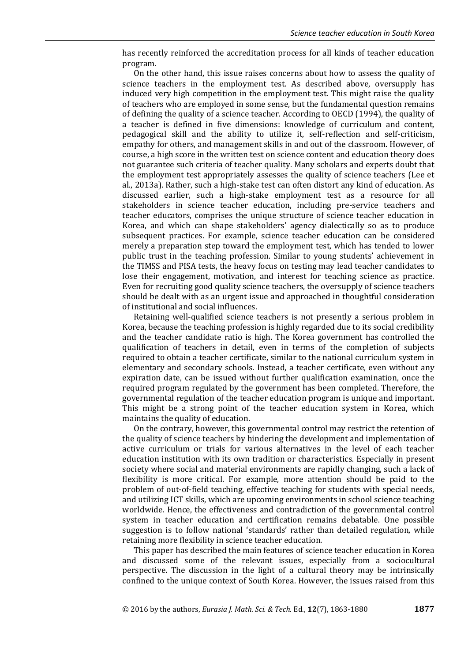has recently reinforced the accreditation process for all kinds of teacher education program.

On the other hand, this issue raises concerns about how to assess the quality of science teachers in the employment test. As described above, oversupply has induced very high competition in the employment test. This might raise the quality of teachers who are employed in some sense, but the fundamental question remains of defining the quality of a science teacher. According to OECD (1994), the quality of a teacher is defined in five dimensions: knowledge of curriculum and content, pedagogical skill and the ability to utilize it, self-reflection and self-criticism, empathy for others, and management skills in and out of the classroom. However, of course, a high score in the written test on science content and education theory does not guarantee such criteria of teacher quality. Many scholars and experts doubt that the employment test appropriately assesses the quality of science teachers (Lee et al., 2013a). Rather, such a high-stake test can often distort any kind of education. As discussed earlier, such a high-stake employment test as a resource for all stakeholders in science teacher education, including pre-service teachers and teacher educators, comprises the unique structure of science teacher education in Korea, and which can shape stakeholders' agency dialectically so as to produce subsequent practices. For example, science teacher education can be considered merely a preparation step toward the employment test, which has tended to lower public trust in the teaching profession. Similar to young students' achievement in the TIMSS and PISA tests, the heavy focus on testing may lead teacher candidates to lose their engagement, motivation, and interest for teaching science as practice. Even for recruiting good quality science teachers, the oversupply of science teachers should be dealt with as an urgent issue and approached in thoughtful consideration of institutional and social influences.

Retaining well-qualified science teachers is not presently a serious problem in Korea, because the teaching profession is highly regarded due to its social credibility and the teacher candidate ratio is high. The Korea government has controlled the qualification of teachers in detail, even in terms of the completion of subjects required to obtain a teacher certificate, similar to the national curriculum system in elementary and secondary schools. Instead, a teacher certificate, even without any expiration date, can be issued without further qualification examination, once the required program regulated by the government has been completed. Therefore, the governmental regulation of the teacher education program is unique and important. This might be a strong point of the teacher education system in Korea, which maintains the quality of education.

On the contrary, however, this governmental control may restrict the retention of the quality of science teachers by hindering the development and implementation of active curriculum or trials for various alternatives in the level of each teacher education institution with its own tradition or characteristics. Especially in present society where social and material environments are rapidly changing, such a lack of flexibility is more critical. For example, more attention should be paid to the problem of out-of-field teaching, effective teaching for students with special needs, and utilizing ICT skills, which are upcoming environments in school science teaching worldwide. Hence, the effectiveness and contradiction of the governmental control system in teacher education and certification remains debatable. One possible suggestion is to follow national 'standards' rather than detailed regulation, while retaining more flexibility in science teacher education.

This paper has described the main features of science teacher education in Korea and discussed some of the relevant issues, especially from a sociocultural perspective. The discussion in the light of a cultural theory may be intrinsically confined to the unique context of South Korea. However, the issues raised from this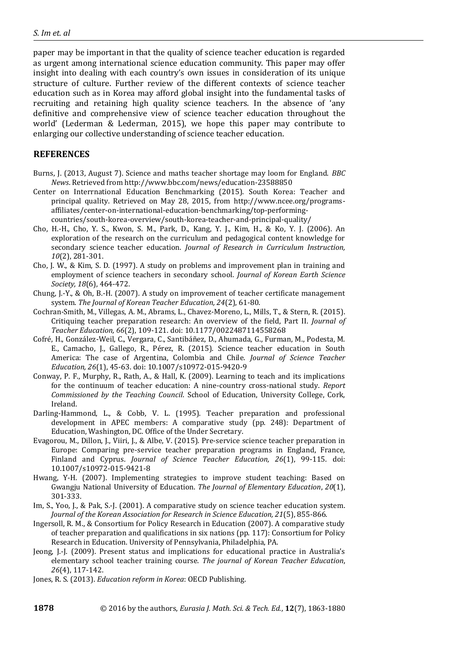paper may be important in that the quality of science teacher education is regarded as urgent among international science education community. This paper may offer insight into dealing with each country's own issues in consideration of its unique structure of culture. Further review of the different contexts of science teacher education such as in Korea may afford global insight into the fundamental tasks of recruiting and retaining high quality science teachers. In the absence of 'any definitive and comprehensive view of science teacher education throughout the world' (Lederman & Lederman, 2015), we hope this paper may contribute to enlarging our collective understanding of science teacher education.

# **REFERENCES**

- Burns, J. (2013, August 7). Science and maths teacher shortage may loom for England. *BBC News*. Retrieved from http://www.bbc.com/news/education-23588850
- Center on Interrnational Education Benchmarking (2015). South Korea: Teacher and principal quality. Retrieved on May 28, 2015, from http://www.ncee.org/programsaffiliates/center-on-international-education-benchmarking/top-performingcountries/south-korea-overview/south-korea-teacher-and-principal-quality/
- Cho, H.-H., Cho, Y. S., Kwon, S. M., Park, D., Kang, Y. J., Kim, H., & Ko, Y. J. (2006). An exploration of the research on the curriculum and pedagogical content knowledge for secondary science teacher education. *Journal of Research in Curriculum Instruction, 10*(2), 281-301.
- Cho, J. W., & Kim, S. D. (1997). A study on problems and improvement plan in training and employment of science teachers in secondary school. *Journal of Korean Earth Science Society, 18*(6), 464-472.
- Chung, J.-Y., & Oh, B.-H. (2007). A study on improvement of teacher certificate management system. *The Journal of Korean Teacher Education, 24*(2), 61-80.
- Cochran-Smith, M., Villegas, A. M., Abrams, L., Chavez-Moreno, L., Mills, T., & Stern, R. (2015). Critiquing teacher preparation research: An overview of the field, Part II. *Journal of Teacher Education, 66*(2), 109-121. doi: 10.1177/0022487114558268
- Cofré, H., González-Weil, C., Vergara, C., Santibáñez, D., Ahumada, G., Furman, M., Podesta, M. E., Camacho, J., Gallego, R., Pérez, R. (2015). Science teacher education in South America: The case of Argentina, Colombia and Chile. *Journal of Science Teacher Education, 26*(1), 45-63. doi: 10.1007/s10972-015-9420-9
- Conway, P. F., Murphy, R., Rath, A., & Hall, K. (2009). Learning to teach and its implications for the continuum of teacher education: A nine-country cross-national study. *Report Commissioned by the Teaching Council*. School of Education, University College, Cork, Ireland.
- Darling-Hammond, L., & Cobb, V. L. (1995). Teacher preparation and professional development in APEC members: A comparative study (pp. 248): Department of Education, Washington, DC. Office of the Under Secretary.
- Evagorou, M., Dillon, J., Viiri, J., & Albe, V. (2015). Pre-service science teacher preparation in Europe: Comparing pre-service teacher preparation programs in England, France, Finland and Cyprus. *Journal of Science Teacher Education, 26*(1), 99-115. doi: 10.1007/s10972-015-9421-8
- Hwang, Y-H. (2007). Implementing strategies to improve student teaching: Based on Gwangju National University of Education. *The Journal of Elementary Education*, *20*(1), 301-333.
- Im, S., Yoo, J., & Pak, S.-J. (2001). A comparative study on science teacher education system. *Journal of the Korean Association for Research in Science Education, 21*(5), 855-866.
- Ingersoll, R. M., & Consortium for Policy Research in Education (2007). A comparative study of teacher preparation and qualifications in six nations (pp. 117): Consortium for Policy Research in Education. University of Pennsylvania, Philadelphia, PA.
- Jeong, J.-J. (2009). Present status and implications for educational practice in Australia's elementary school teacher training course. *The journal of Korean Teacher Education*, *26*(4), 117-142.
- Jones, R. S. (2013). *Education reform in Korea*: OECD Publishing.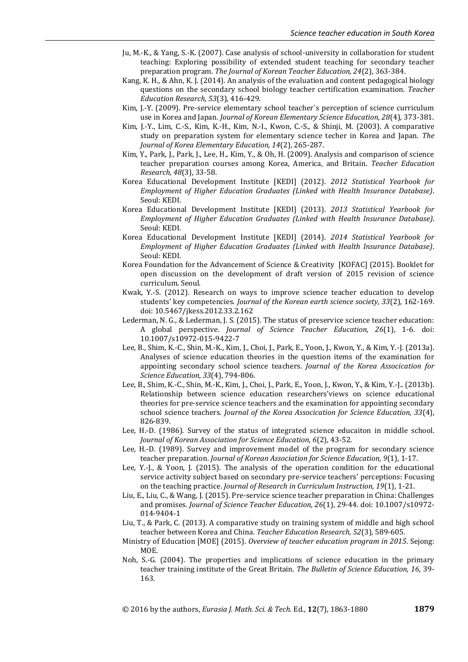- Ju, M.-K., & Yang, S.-K. (2007). Case analysis of school-university in collaboration for student teaching: Exploring possibility of extended student teaching for secondary teacher preparation program. *The Journal of Korean Teacher Education, 24*(2), 363-384.
- Kang, K. H., & Ahn, K. J. (2014). An analysis of the evaluation and content pedagogical biology questions on the secondary school biology teacher certification examination. *Teacher Education Research, 53*(3), 416-429.
- Kim, J.-Y. (2009). Pre-service elementary school teacher`s perception of science curriculum use in Korea and Japan. *Journal of Korean Elementary Science Education, 28*(4), 373-381.
- Kim, J.-Y., Lim, C.-S., Kim, K.-H., Kim, N.-I., Kwon, C.-S., & Shinji, M. (2003). A comparative study on preparation system for elementary science techer in Korea and Japan. *The Journal of Korea Elementary Education, 14*(2), 265-287.
- Kim, Y., Park, J., Park, J., Lee, H., Kim, Y., & Oh, H. (2009). Analysis and comparison of science teacher preparation courses among Korea, America, and Britain. *Teacher Education Research, 48*(3), 33-58.
- Korea Educational Development Institute [KEDI] (2012). *2012 Statistical Yearbook for Employment of Higher Education Graduates (Linked with Health Insurance Database)*. Seoul: KEDI.
- Korea Educational Development Institute [KEDI] (2013). *2013 Statistical Yearbook for Employment of Higher Education Graduates (Linked with Health Insurance Database)*. Seoul: KEDI.
- Korea Educational Development Institute [KEDI] (2014). *2014 Statistical Yearbook for Employment of Higher Education Graduates (Linked with Health Insurance Database)*. Seoul: KEDI.
- Korea Foundation for the Advancement of Science & Creativity [KOFAC] (2015). Booklet for open discussion on the development of draft version of 2015 revision of science curriculum. Seoul.
- Kwak, Y.-S. (2012). Research on ways to improve science teacher education to develop students' key competencies. *Journal of the Korean earth science society, 33*(2), 162-169. doi: 10.5467/jkess.2012.33.2.162
- Lederman, N. G., & Lederman, J. S. (2015). The status of preservice science teacher education: A global perspective. *Journal of Science Teacher Education, 26*(1), 1-6. doi: 10.1007/s10972-015-9422-7
- Lee, B., Shim, K.-C., Shin, M.-K., Kim, J., Choi, J., Park, E., Yoon, J., Kwon, Y., & Kim, Y.-J. (2013a). Analyses of science education theories in the question items of the examination for appointing secondary school science teachers. *Journal of the Korea Assocication for Science Education, 33*(4), 794-806.
- Lee, B., Shim, K.-C., Shin, M.-K., Kim, J., Choi, J., Park, E., Yoon, J., Kwon, Y., & Kim, Y.-J.. (2013b). Relationship between science education researchers'views on science educational theories for pre-service science teachers and the examination for appointing secondary school science teachers. *Journal of the Korea Assocication for Science Education, 33*(4), 826-839.
- Lee, H.-D. (1986). Survey of the status of integrated science educaiton in middle school. *Journal of Korean Association for Science Education, 6*(2), 43-52.
- Lee, H.-D. (1989). Survey and improvement model of the program for secondary science teacher preparation. *Journal of Korean Association for Science Education, 9*(1), 1-17.
- Lee, Y.-J., & Yoon, J. (2015). The analysis of the operation condition for the educational service activity subject based on secondary pre-service teachers' perceptions: Focusing on the teaching practice. *Journal of Research in Curriculum Instruction, 19*(1), 1-21.
- Liu, E., Liu, C., & Wang, J. (2015). Pre-service science teacher preparation in China: Challenges and promises. *Journal of Science Teacher Education, 26*(1), 29-44. doi: 10.1007/s10972- 014-9404-1
- Liu, T., & Park, C. (2013). A comparative study on training system of middle and high school teacher between Korea and China. *Teacher Education Research, 52*(3), 589-605.
- Ministry of Education [MOE] (2015). *Overview of teacher education program in 2015*. Sejong: MOE.
- Noh, S.-G. (2004). The properties and implications of science education in the primary teacher training institute of the Great Britain. *The Bulletin of Science Education, 16*, 39- 163.